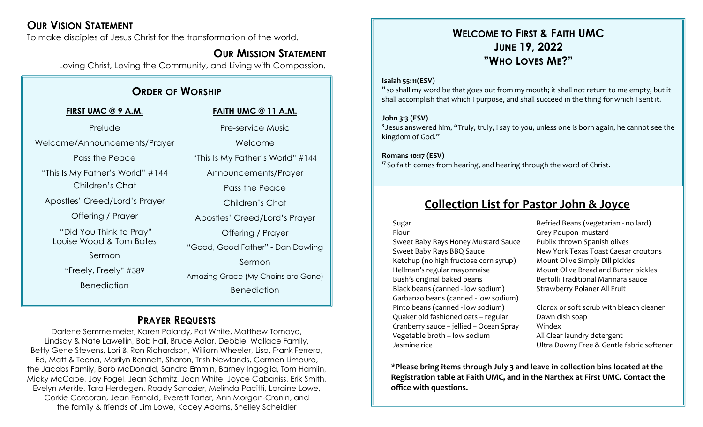## **OUR VISION STATEMENT**

To make disciples of Jesus Christ for the transformation of the world.

## **OUR MISSION STATEMENT**

Loving Christ, Loving the Community, and Living with Compassion.

## **ORDER OF WORSHIP**

#### **FIRST UMC @ 9 A.M.**

Prelude Welcome/Announcements/Prayer

Pass the Peace

"This Is My Father's World" #144

Children's Chat

Apostles' Creed/Lord's Prayer

Offering / Prayer

"Did You Think to Pray" Louise Wood & Tom Bates

Sermon

"Freely, Freely" #389

Benediction

#### **FAITH UMC @ 11 A.M.**

Pre-service Music Welcome "This Is My Father's World" #144

Announcements/Prayer

Pass the Peace

Children's Chat

Apostles' Creed/Lord's Prayer

Offering / Prayer

"Good, Good Father" - Dan Dowling

Sermon

Amazing Grace (My Chains are Gone) **Benediction** 

## **PRAYER REQUESTS**

Darlene Semmelmeier, Karen Palardy, Pat White, Matthew Tomayo, Lindsay & Nate Lawellin, Bob Hall, Bruce Adlar, Debbie, Wallace Family, Betty Gene Stevens, Lori & Ron Richardson, William Wheeler, Lisa, Frank Ferrero, Ed, Matt & Teena, Marilyn Bennett, Sharon, Trish Newlands, Carmen Limauro, the Jacobs Family, Barb McDonald, Sandra Emmin, Barney Ingoglia, Tom Hamlin, Micky McCabe, Joy Fogel, Jean Schmitz, Joan White, Joyce Cabaniss, Erik Smith, Evelyn Merkle, Tara Herdegen, Roady Sanozier, Melinda Pacitti, Laraine Lowe, Corkie Corcoran, Jean Fernald, Everett Tarter, Ann Morgan-Cronin, and the family & friends of Jim Lowe, Kacey Adams, Shelley Scheidler

## **WELCOME TO FIRST & FAITH UMC JUNE 19, 2022 "WHO LOVES ME?"**

#### **Isaiah 55:11(ESV)**

**<sup>11</sup>** so shall my word be that goes out from my mouth; it shall not return to me empty, but it shall accomplish that which I purpose, and shall succeed in the thing for which I sent it.

#### **John 3:3 (ESV)**

**3** Jesus answered him, "Truly, truly, I say to you, unless one is born again, he cannot see the kingdom of God."

#### **Romans 10:17 (ESV)**

**<sup>17</sup>** So faith comes from hearing, and hearing through the word of Christ.

## **Collection List for Pastor John & Joyce**

#### Sugar

Flour Sweet Baby Rays Honey Mustard Sauce Sweet Baby Rays BBQ Sauce Ketchup (no high fructose corn syrup) Hellman's regular mayonnaise Bush's original baked beans Black beans (canned - low sodium) Garbanzo beans (canned - low sodium) Pinto beans (canned - low sodium) Quaker old fashioned oats – regular Cranberry sauce – jellied – Ocean Spray Vegetable broth – low sodium Jasmine rice

Refried Beans (vegetarian - no lard) Grey Poupon mustard Publix thrown Spanish olives New York Texas Toast Caesar croutons Mount Olive Simply Dill pickles Mount Olive Bread and Butter pickles Bertolli Traditional Marinara sauce Strawberry Polaner All Fruit

Clorox or soft scrub with bleach cleaner Dawn dish soap Windex All Clear laundry detergent Ultra Downy Free & Gentle fabric softener

**\*Please bring items through July 3 and leave in collection bins located at the Registration table at Faith UMC, and in the Narthex at First UMC. Contact the office with questions.**